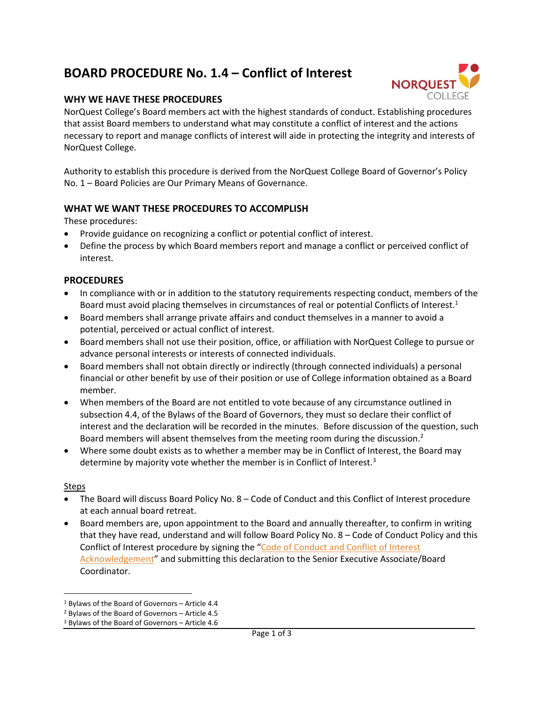# **BOARD PROCEDURE No. 1.4 – Conflict of Interest**

#### **WHY WE HAVE THESE PROCEDURES**



NorQuest College's Board members act with the highest standards of conduct. Establishing procedures that assist Board members to understand what may constitute a conflict of interest and the actions necessary to report and manage conflicts of interest will aide in protecting the integrity and interests of NorQuest College.

Authority to establish this procedure is derived from the NorQuest College Board of Governor's Policy No. 1 – Board Policies are Our Primary Means of Governance.

#### **WHAT WE WANT THESE PROCEDURES TO ACCOMPLISH**

These procedures:

- Provide guidance on recognizing a conflict or potential conflict of interest.
- Define the process by which Board members report and manage a conflict or perceived conflict of interest.

#### **PROCEDURES**

- In compliance with or in addition to the statutory requirements respecting conduct, members of the Board must avoid placing themselves in circumstances of real or potential Conflicts of Interest.<sup>1</sup>
- Board members shall arrange private affairs and conduct themselves in a manner to avoid a potential, perceived or actual conflict of interest.
- Board members shall not use their position, office, or affiliation with NorQuest College to pursue or advance personal interests or interests of connected individuals.
- Board members shall not obtain directly or indirectly (through connected individuals) a personal financial or other benefit by use of their position or use of College information obtained as a Board member.
- When members of the Board are not entitled to vote because of any circumstance outlined in subsection 4.4, of the Bylaws of the Board of Governors, they must so declare their conflict of interest and the declaration will be recorded in the minutes. Before discussion of the question, such Board members will absent themselves from the meeting room during the discussion.<sup>2</sup>
- Where some doubt exists as to whether a member may be in Conflict of Interest, the Board may determine by majority vote whether the member is in Conflict of Interest.<sup>3</sup>

#### Steps

l

- The Board will discuss Board Policy No. 8 Code of Conduct and this Conflict of Interest procedure at each annual board retreat.
- Board members are, upon appointment to the Board and annually thereafter, to confirm in writing that they have read, understand and will follow Board Policy No. 8 – Code of Conduct Policy and this Conflict of Interest procedure by signing the "[Code of Conduct and Conflict of Interest](https://www.norquest.ca/NorquestCollege/media/pdf/about-us/board/Code-of-Conduct-and-Conflict-of-Interest-Acknowledgment.pdf)  [Acknowledgement](http://www.norquest.ca/NorquestCollege/media/pdf/about-us/board/Code-of-Conduct-and-Conflict-of-Interest-Acknowledgment-v1-0.pdf)" and submitting this declaration to the Senior Executive Associate/Board Coordinator.

<sup>1</sup> Bylaws of the Board of Governors – Article 4.4

<sup>2</sup> Bylaws of the Board of Governors – Article 4.5

<sup>3</sup> Bylaws of the Board of Governors – Article 4.6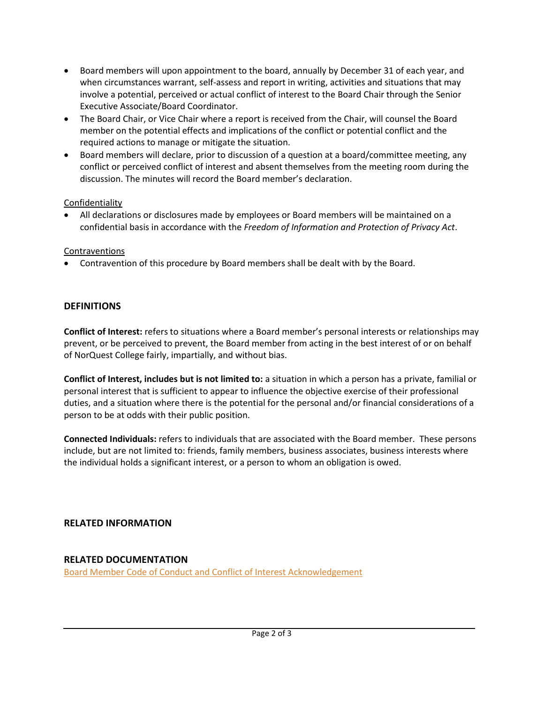- Board members will upon appointment to the board, annually by December 31 of each year, and when circumstances warrant, self-assess and report in writing, activities and situations that may involve a potential, perceived or actual conflict of interest to the Board Chair through the Senior Executive Associate/Board Coordinator.
- The Board Chair, or Vice Chair where a report is received from the Chair, will counsel the Board member on the potential effects and implications of the conflict or potential conflict and the required actions to manage or mitigate the situation.
- Board members will declare, prior to discussion of a question at a board/committee meeting, any conflict or perceived conflict of interest and absent themselves from the meeting room during the discussion. The minutes will record the Board member's declaration.

## **Confidentiality**

 All declarations or disclosures made by employees or Board members will be maintained on a confidential basis in accordance with the *Freedom of Information and Protection of Privacy Act*.

## Contraventions

Contravention of this procedure by Board members shall be dealt with by the Board.

## **DEFINITIONS**

**Conflict of Interest:** refers to situations where a Board member's personal interests or relationships may prevent, or be perceived to prevent, the Board member from acting in the best interest of or on behalf of NorQuest College fairly, impartially, and without bias.

**Conflict of Interest, includes but is not limited to:** a situation in which a person has a private, familial or personal interest that is sufficient to appear to influence the objective exercise of their professional duties, and a situation where there is the potential for the personal and/or financial considerations of a person to be at odds with their public position.

**Connected Individuals:** refers to individuals that are associated with the Board member. These persons include, but are not limited to: friends, family members, business associates, business interests where the individual holds a significant interest, or a person to whom an obligation is owed.

# **RELATED INFORMATION**

# **RELATED DOCUMENTATION**

[Board Member Code of Conduct and Conflict of Interest Acknowledgement](https://www.norquest.ca/NorquestCollege/media/pdf/about-us/board/Code-of-Conduct-and-Conflict-of-Interest-Acknowledgment.pdf)